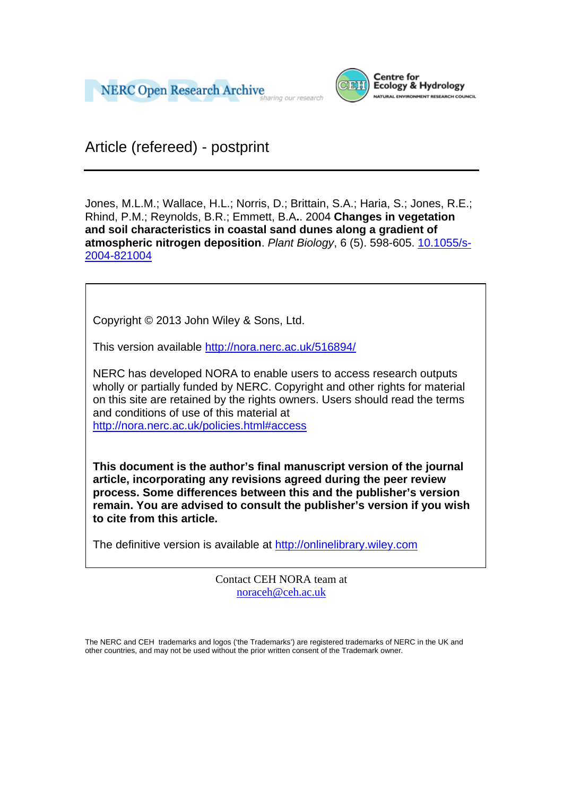



Article (refereed) - postprint

Jones, M.L.M.; Wallace, H.L.; Norris, D.; Brittain, S.A.; Haria, S.; Jones, R.E.; Rhind, P.M.; Reynolds, B.R.; Emmett, B.A**.**. 2004 **Changes in vegetation and soil characteristics in coastal sand dunes along a gradient of atmospheric nitrogen deposition**. *Plant Biology*, 6 (5). 598-605. 10.1055/s-2004-821004

Copyright © 2013 John Wiley & Sons, Ltd.

This version available http://nora.nerc.ac.uk/516894/

NERC has developed NORA to enable users to access research outputs wholly or partially funded by NERC. Copyright and other rights for material on this site are retained by the rights owners. Users should read the terms and conditions of use of this material at

http://nora.nerc.ac.uk/policies.html#access

**This document is the author's final manuscript version of the journal article, incorporating any revisions agreed during the peer review process. Some differences between this and the publisher's version remain. You are advised to consult the publisher's version if you wish to cite from this article.** 

The definitive version is available at http://onlinelibrary.wiley.com

Contact CEH NORA team at noraceh@ceh.ac.uk

The NERC and CEH trademarks and logos ('the Trademarks') are registered trademarks of NERC in the UK and other countries, and may not be used without the prior written consent of the Trademark owner*.*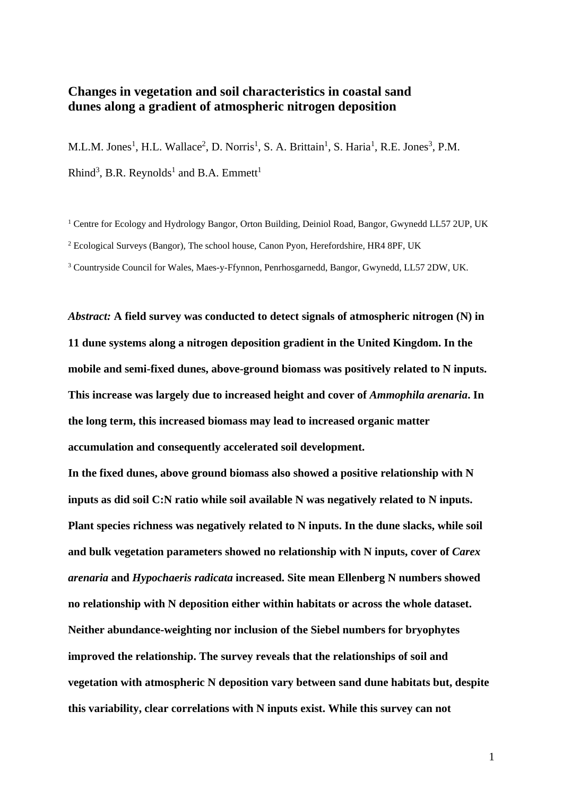# **Changes in vegetation and soil characteristics in coastal sand dunes along a gradient of atmospheric nitrogen deposition**

M.L.M. Jones<sup>1</sup>, H.L. Wallace<sup>2</sup>, D. Norris<sup>1</sup>, S. A. Brittain<sup>1</sup>, S. Haria<sup>1</sup>, R.E. Jones<sup>3</sup>, P.M. Rhind<sup>3</sup>, B.R. Reynolds<sup>1</sup> and B.A. Emmett<sup>1</sup>

<sup>1</sup> Centre for Ecology and Hydrology Bangor, Orton Building, Deiniol Road, Bangor, Gwynedd LL57 2UP, UK <sup>2</sup> Ecological Surveys (Bangor), The school house, Canon Pyon, Herefordshire, HR4 8PF, UK 3 Countryside Council for Wales, Maes-y-Ffynnon, Penrhosgarnedd, Bangor, Gwynedd, LL57 2DW, UK.

*Abstract:* **A field survey was conducted to detect signals of atmospheric nitrogen (N) in 11 dune systems along a nitrogen deposition gradient in the United Kingdom. In the mobile and semi-fixed dunes, above-ground biomass was positively related to N inputs. This increase was largely due to increased height and cover of** *Ammophila arenaria***. In the long term, this increased biomass may lead to increased organic matter accumulation and consequently accelerated soil development.** 

**In the fixed dunes, above ground biomass also showed a positive relationship with N inputs as did soil C:N ratio while soil available N was negatively related to N inputs. Plant species richness was negatively related to N inputs. In the dune slacks, while soil and bulk vegetation parameters showed no relationship with N inputs, cover of** *Carex arenaria* **and** *Hypochaeris radicata* **increased. Site mean Ellenberg N numbers showed no relationship with N deposition either within habitats or across the whole dataset. Neither abundance-weighting nor inclusion of the Siebel numbers for bryophytes improved the relationship. The survey reveals that the relationships of soil and vegetation with atmospheric N deposition vary between sand dune habitats but, despite this variability, clear correlations with N inputs exist. While this survey can not**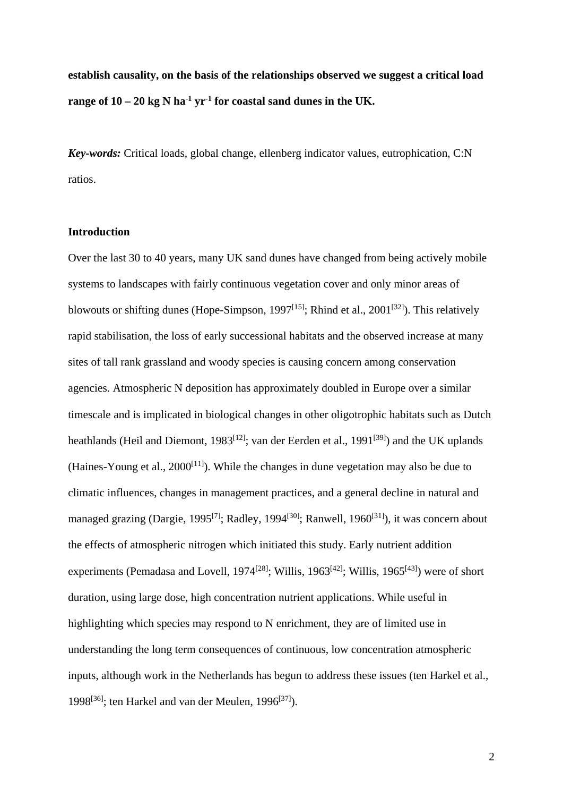**establish causality, on the basis of the relationships observed we suggest a critical load**  range of  $10 - 20$  kg N ha<sup>-1</sup> yr<sup>-1</sup> for coastal sand dunes in the UK.

*Key-words:* Critical loads, global change, ellenberg indicator values, eutrophication, C:N ratios.

### **Introduction**

Over the last 30 to 40 years, many UK sand dunes have changed from being actively mobile systems to landscapes with fairly continuous vegetation cover and only minor areas of blowouts or shifting dunes (Hope-Simpson, 1997<sup>[15]</sup>; Rhind et al., 2001<sup>[32]</sup>). This relatively rapid stabilisation, the loss of early successional habitats and the observed increase at many sites of tall rank grassland and woody species is causing concern among conservation agencies. Atmospheric N deposition has approximately doubled in Europe over a similar timescale and is implicated in biological changes in other oligotrophic habitats such as Dutch heathlands (Heil and Diemont, 1983<sup>[12]</sup>; van der Eerden et al., 1991<sup>[39]</sup>) and the UK uplands (Haines-Young et al.,  $2000^{[11]}$ ). While the changes in dune vegetation may also be due to climatic influences, changes in management practices, and a general decline in natural and managed grazing (Dargie, 1995<sup>[7]</sup>; Radley, 1994<sup>[30]</sup>; Ranwell, 1960<sup>[31]</sup>), it was concern about the effects of atmospheric nitrogen which initiated this study. Early nutrient addition experiments (Pemadasa and Lovell, 1974<sup>[28]</sup>; Willis, 1963<sup>[42]</sup>; Willis, 1965<sup>[43]</sup>) were of short duration, using large dose, high concentration nutrient applications. While useful in highlighting which species may respond to N enrichment, they are of limited use in understanding the long term consequences of continuous, low concentration atmospheric inputs, although work in the Netherlands has begun to address these issues (ten Harkel et al., 1998<sup>[36]</sup>; ten Harkel and van der Meulen, 1996<sup>[37]</sup>).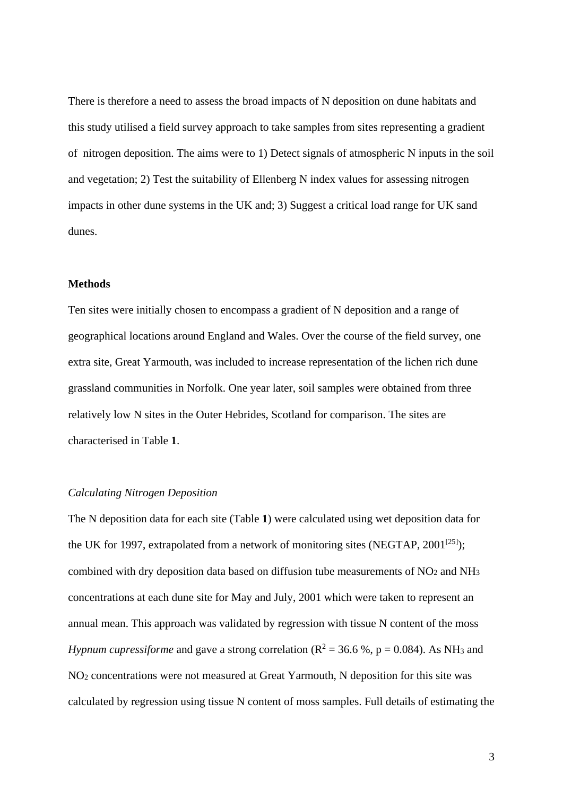There is therefore a need to assess the broad impacts of N deposition on dune habitats and this study utilised a field survey approach to take samples from sites representing a gradient of nitrogen deposition. The aims were to 1) Detect signals of atmospheric N inputs in the soil and vegetation; 2) Test the suitability of Ellenberg N index values for assessing nitrogen impacts in other dune systems in the UK and; 3) Suggest a critical load range for UK sand dunes.

### **Methods**

Ten sites were initially chosen to encompass a gradient of N deposition and a range of geographical locations around England and Wales. Over the course of the field survey, one extra site, Great Yarmouth, was included to increase representation of the lichen rich dune grassland communities in Norfolk. One year later, soil samples were obtained from three relatively low N sites in the Outer Hebrides, Scotland for comparison. The sites are characterised in Table **1**.

### *Calculating Nitrogen Deposition*

The N deposition data for each site (Table **1**) were calculated using wet deposition data for the UK for 1997, extrapolated from a network of monitoring sites (NEGTAP,  $2001^{[25]}$ ); combined with dry deposition data based on diffusion tube measurements of  $NO<sub>2</sub>$  and  $NH<sub>3</sub>$ concentrations at each dune site for May and July, 2001 which were taken to represent an annual mean. This approach was validated by regression with tissue N content of the moss *Hypnum cupressiforme* and gave a strong correlation ( $R^2 = 36.6$  %,  $p = 0.084$ ). As NH<sub>3</sub> and NO2 concentrations were not measured at Great Yarmouth, N deposition for this site was calculated by regression using tissue N content of moss samples. Full details of estimating the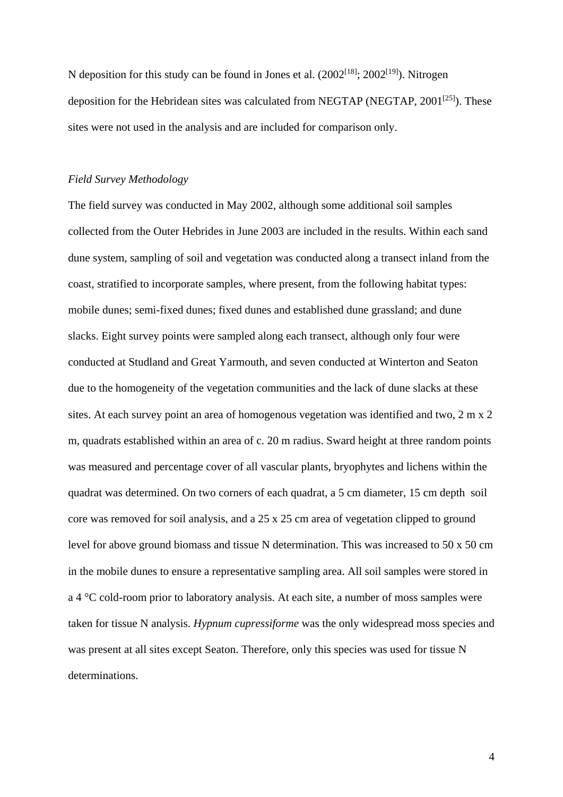N deposition for this study can be found in Jones et al.  $(2002^{[18]}; 2002^{[19]})$ . Nitrogen deposition for the Hebridean sites was calculated from NEGTAP (NEGTAP,  $2001^{[25]}$ ). These sites were not used in the analysis and are included for comparison only.

#### *Field Survey Methodology*

The field survey was conducted in May 2002, although some additional soil samples collected from the Outer Hebrides in June 2003 are included in the results. Within each sand dune system, sampling of soil and vegetation was conducted along a transect inland from the coast, stratified to incorporate samples, where present, from the following habitat types: mobile dunes; semi-fixed dunes; fixed dunes and established dune grassland; and dune slacks. Eight survey points were sampled along each transect, although only four were conducted at Studland and Great Yarmouth, and seven conducted at Winterton and Seaton due to the homogeneity of the vegetation communities and the lack of dune slacks at these sites. At each survey point an area of homogenous vegetation was identified and two, 2 m x 2 m, quadrats established within an area of c. 20 m radius. Sward height at three random points was measured and percentage cover of all vascular plants, bryophytes and lichens within the quadrat was determined. On two corners of each quadrat, a 5 cm diameter, 15 cm depth soil core was removed for soil analysis, and a 25 x 25 cm area of vegetation clipped to ground level for above ground biomass and tissue N determination. This was increased to 50 x 50 cm in the mobile dunes to ensure a representative sampling area. All soil samples were stored in a 4 °C cold-room prior to laboratory analysis. At each site, a number of moss samples were taken for tissue N analysis. *Hypnum cupressiforme* was the only widespread moss species and was present at all sites except Seaton. Therefore, only this species was used for tissue N determinations.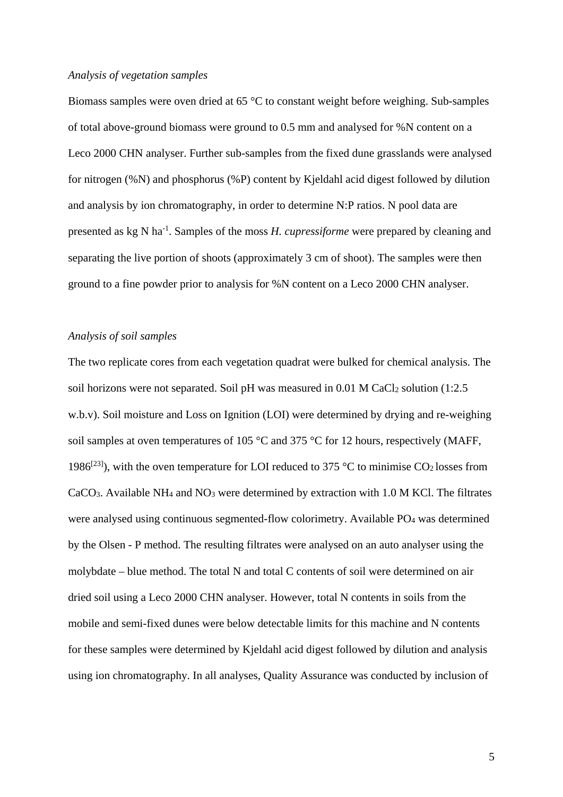#### *Analysis of vegetation samples*

Biomass samples were oven dried at 65 °C to constant weight before weighing. Sub-samples of total above-ground biomass were ground to 0.5 mm and analysed for %N content on a Leco 2000 CHN analyser. Further sub-samples from the fixed dune grasslands were analysed for nitrogen (%N) and phosphorus (%P) content by Kjeldahl acid digest followed by dilution and analysis by ion chromatography, in order to determine N:P ratios. N pool data are presented as kg N ha-1. Samples of the moss *H. cupressiforme* were prepared by cleaning and separating the live portion of shoots (approximately 3 cm of shoot). The samples were then ground to a fine powder prior to analysis for %N content on a Leco 2000 CHN analyser.

### *Analysis of soil samples*

The two replicate cores from each vegetation quadrat were bulked for chemical analysis. The soil horizons were not separated. Soil pH was measured in 0.01 M CaCl<sub>2</sub> solution (1:2.5) w.b.v). Soil moisture and Loss on Ignition (LOI) were determined by drying and re-weighing soil samples at oven temperatures of 105 °C and 375 °C for 12 hours, respectively (MAFF, 1986<sup>[23]</sup>), with the oven temperature for LOI reduced to 375 °C to minimise CO<sub>2</sub> losses from CaCO3. Available NH4 and NO3 were determined by extraction with 1.0 M KCl. The filtrates were analysed using continuous segmented-flow colorimetry. Available PO4 was determined by the Olsen - P method. The resulting filtrates were analysed on an auto analyser using the molybdate – blue method. The total N and total C contents of soil were determined on air dried soil using a Leco 2000 CHN analyser. However, total N contents in soils from the mobile and semi-fixed dunes were below detectable limits for this machine and N contents for these samples were determined by Kjeldahl acid digest followed by dilution and analysis using ion chromatography. In all analyses, Quality Assurance was conducted by inclusion of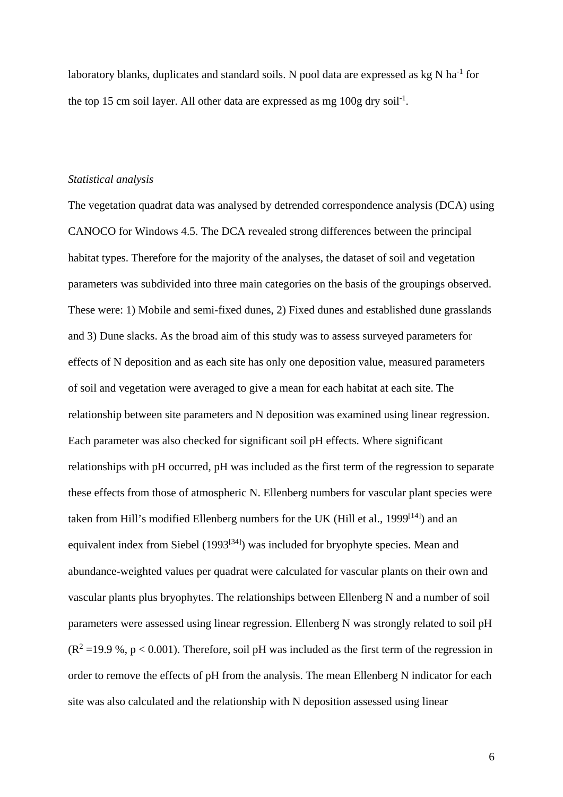laboratory blanks, duplicates and standard soils. N pool data are expressed as kg N ha<sup>-1</sup> for the top 15 cm soil layer. All other data are expressed as mg  $100g$  dry soil<sup>-1</sup>.

### *Statistical analysis*

The vegetation quadrat data was analysed by detrended correspondence analysis (DCA) using CANOCO for Windows 4.5. The DCA revealed strong differences between the principal habitat types. Therefore for the majority of the analyses, the dataset of soil and vegetation parameters was subdivided into three main categories on the basis of the groupings observed. These were: 1) Mobile and semi-fixed dunes, 2) Fixed dunes and established dune grasslands and 3) Dune slacks. As the broad aim of this study was to assess surveyed parameters for effects of N deposition and as each site has only one deposition value, measured parameters of soil and vegetation were averaged to give a mean for each habitat at each site. The relationship between site parameters and N deposition was examined using linear regression. Each parameter was also checked for significant soil pH effects. Where significant relationships with pH occurred, pH was included as the first term of the regression to separate these effects from those of atmospheric N. Ellenberg numbers for vascular plant species were taken from Hill's modified Ellenberg numbers for the UK (Hill et al., 1999<sup>[14]</sup>) and an equivalent index from Siebel (1993<sup>[34]</sup>) was included for bryophyte species. Mean and abundance-weighted values per quadrat were calculated for vascular plants on their own and vascular plants plus bryophytes. The relationships between Ellenberg N and a number of soil parameters were assessed using linear regression. Ellenberg N was strongly related to soil pH  $(R^2 = 19.9 \text{ %}, p < 0.001)$ . Therefore, soil pH was included as the first term of the regression in order to remove the effects of pH from the analysis. The mean Ellenberg N indicator for each site was also calculated and the relationship with N deposition assessed using linear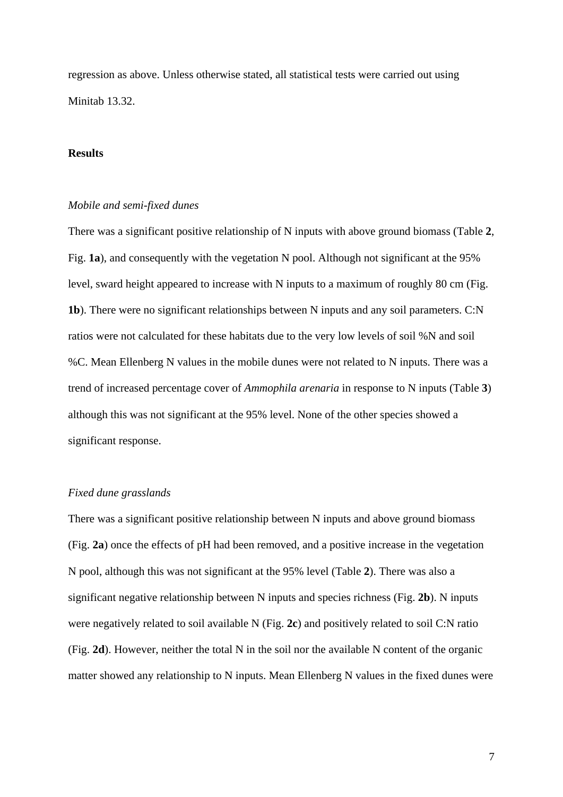regression as above. Unless otherwise stated, all statistical tests were carried out using Minitab 13.32.

## **Results**

#### *Mobile and semi-fixed dunes*

There was a significant positive relationship of N inputs with above ground biomass (Table **2**, Fig. **1a**), and consequently with the vegetation N pool. Although not significant at the 95% level, sward height appeared to increase with N inputs to a maximum of roughly 80 cm (Fig. **1b**). There were no significant relationships between N inputs and any soil parameters. C:N ratios were not calculated for these habitats due to the very low levels of soil %N and soil %C. Mean Ellenberg N values in the mobile dunes were not related to N inputs. There was a trend of increased percentage cover of *Ammophila arenaria* in response to N inputs (Table **3**) although this was not significant at the 95% level. None of the other species showed a significant response.

## *Fixed dune grasslands*

There was a significant positive relationship between N inputs and above ground biomass (Fig. **2a**) once the effects of pH had been removed, and a positive increase in the vegetation N pool, although this was not significant at the 95% level (Table **2**). There was also a significant negative relationship between N inputs and species richness (Fig. **2b**). N inputs were negatively related to soil available N (Fig. **2c**) and positively related to soil C:N ratio (Fig. **2d**). However, neither the total N in the soil nor the available N content of the organic matter showed any relationship to N inputs. Mean Ellenberg N values in the fixed dunes were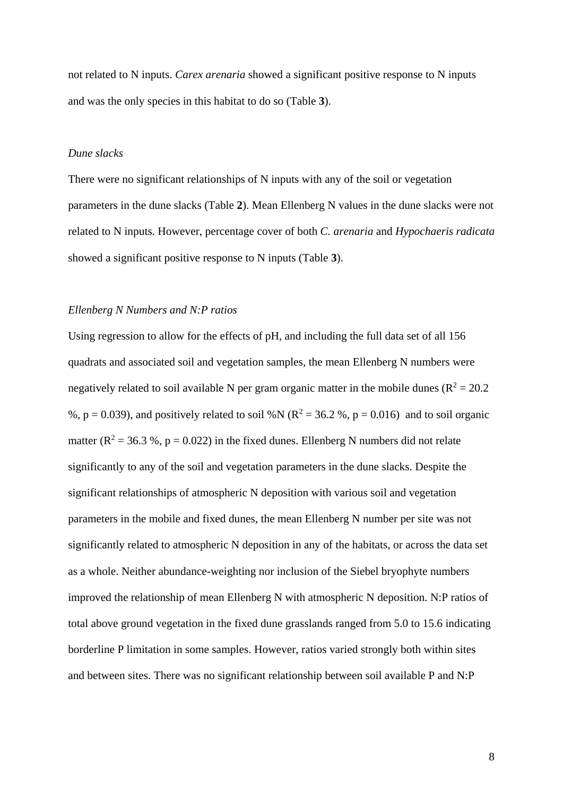not related to N inputs. *Carex arenaria* showed a significant positive response to N inputs and was the only species in this habitat to do so (Table **3**).

## *Dune slacks*

There were no significant relationships of N inputs with any of the soil or vegetation parameters in the dune slacks (Table **2**). Mean Ellenberg N values in the dune slacks were not related to N inputs. However, percentage cover of both *C. arenaria* and *Hypochaeris radicata* showed a significant positive response to N inputs (Table **3**).

#### *Ellenberg N Numbers and N:P ratios*

Using regression to allow for the effects of pH, and including the full data set of all 156 quadrats and associated soil and vegetation samples, the mean Ellenberg N numbers were negatively related to soil available N per gram organic matter in the mobile dunes ( $\mathbb{R}^2 = 20.2$ ) %,  $p = 0.039$ ), and positively related to soil %N ( $R^2 = 36.2$  %,  $p = 0.016$ ) and to soil organic matter ( $R^2 = 36.3$ %, p = 0.022) in the fixed dunes. Ellenberg N numbers did not relate significantly to any of the soil and vegetation parameters in the dune slacks. Despite the significant relationships of atmospheric N deposition with various soil and vegetation parameters in the mobile and fixed dunes, the mean Ellenberg N number per site was not significantly related to atmospheric N deposition in any of the habitats, or across the data set as a whole. Neither abundance-weighting nor inclusion of the Siebel bryophyte numbers improved the relationship of mean Ellenberg N with atmospheric N deposition. N:P ratios of total above ground vegetation in the fixed dune grasslands ranged from 5.0 to 15.6 indicating borderline P limitation in some samples. However, ratios varied strongly both within sites and between sites. There was no significant relationship between soil available P and N:P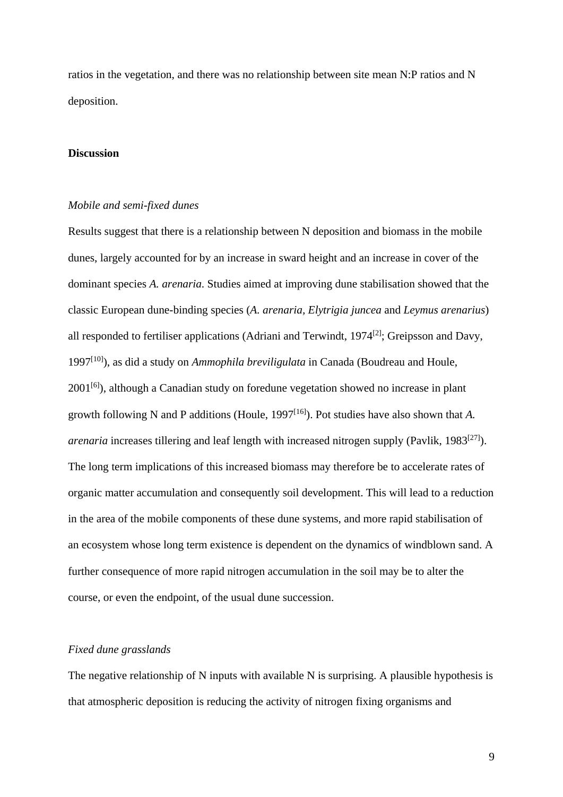ratios in the vegetation, and there was no relationship between site mean N:P ratios and N deposition.

### **Discussion**

#### *Mobile and semi-fixed dunes*

Results suggest that there is a relationship between N deposition and biomass in the mobile dunes, largely accounted for by an increase in sward height and an increase in cover of the dominant species *A. arenaria*. Studies aimed at improving dune stabilisation showed that the classic European dune-binding species (*A. arenaria, Elytrigia juncea* and *Leymus arenarius*) all responded to fertiliser applications (Adriani and Terwindt, 1974[2]; Greipsson and Davy, 1997[10]), as did a study on *Ammophila breviligulata* in Canada (Boudreau and Houle,  $2001^{[6]}$ ), although a Canadian study on foredune vegetation showed no increase in plant growth following N and P additions (Houle, 1997[16]). Pot studies have also shown that *A. arenaria* increases tillering and leaf length with increased nitrogen supply (Pavlik, 1983<sup>[27]</sup>). The long term implications of this increased biomass may therefore be to accelerate rates of organic matter accumulation and consequently soil development. This will lead to a reduction in the area of the mobile components of these dune systems, and more rapid stabilisation of an ecosystem whose long term existence is dependent on the dynamics of windblown sand. A further consequence of more rapid nitrogen accumulation in the soil may be to alter the course, or even the endpoint, of the usual dune succession.

## *Fixed dune grasslands*

The negative relationship of N inputs with available N is surprising. A plausible hypothesis is that atmospheric deposition is reducing the activity of nitrogen fixing organisms and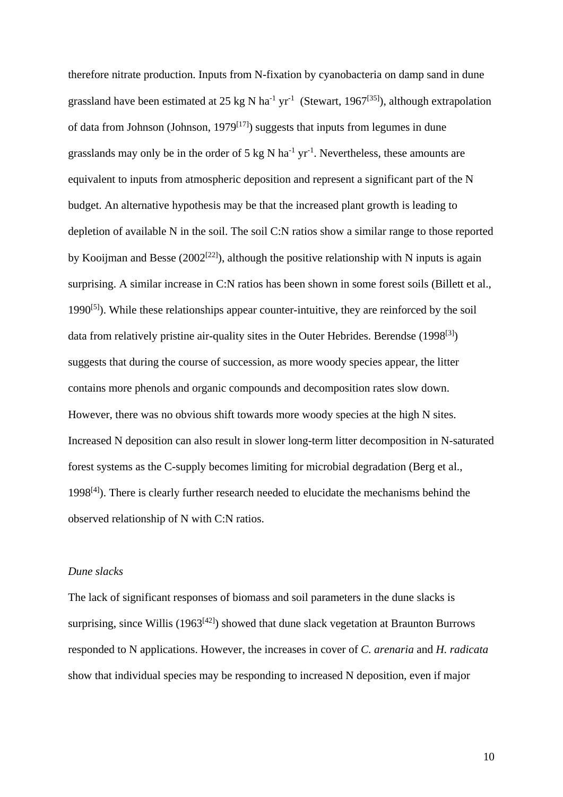therefore nitrate production. Inputs from N-fixation by cyanobacteria on damp sand in dune grassland have been estimated at 25 kg N ha<sup>-1</sup> yr<sup>-1</sup> (Stewart, 1967<sup>[35]</sup>), although extrapolation of data from Johnson (Johnson, 1979<sup>[17]</sup>) suggests that inputs from legumes in dune grasslands may only be in the order of 5 kg N ha<sup>-1</sup> yr<sup>-1</sup>. Nevertheless, these amounts are equivalent to inputs from atmospheric deposition and represent a significant part of the N budget. An alternative hypothesis may be that the increased plant growth is leading to depletion of available N in the soil. The soil C:N ratios show a similar range to those reported by Kooijman and Besse (2002<sup>[22]</sup>), although the positive relationship with N inputs is again surprising. A similar increase in C:N ratios has been shown in some forest soils (Billett et al., 1990 $[5]$ ). While these relationships appear counter-intuitive, they are reinforced by the soil data from relatively pristine air-quality sites in the Outer Hebrides. Berendse  $(1998^{[3]})$ suggests that during the course of succession, as more woody species appear, the litter contains more phenols and organic compounds and decomposition rates slow down. However, there was no obvious shift towards more woody species at the high N sites. Increased N deposition can also result in slower long-term litter decomposition in N-saturated forest systems as the C-supply becomes limiting for microbial degradation (Berg et al.,  $1998^{[4]}$ ). There is clearly further research needed to elucidate the mechanisms behind the observed relationship of N with C:N ratios.

### *Dune slacks*

The lack of significant responses of biomass and soil parameters in the dune slacks is surprising, since Willis  $(1963^{[42]})$  showed that dune slack vegetation at Braunton Burrows responded to N applications. However, the increases in cover of *C. arenaria* and *H. radicata* show that individual species may be responding to increased N deposition, even if major

10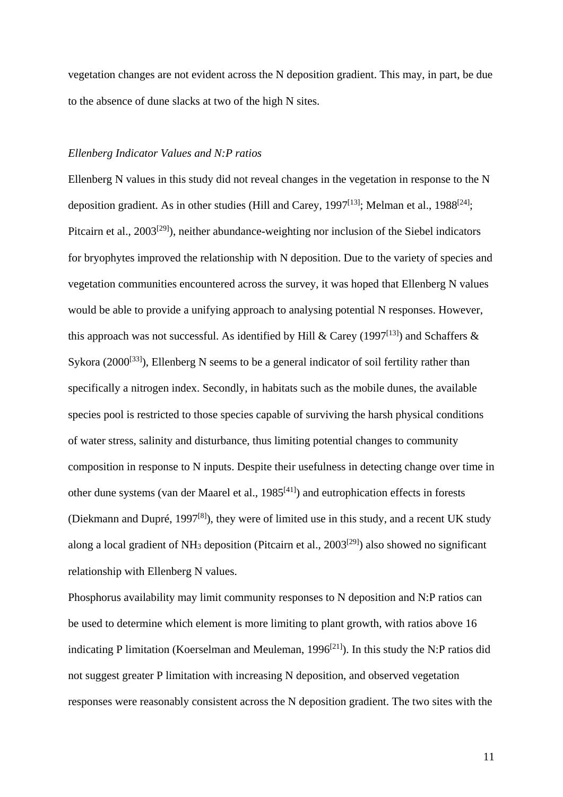vegetation changes are not evident across the N deposition gradient. This may, in part, be due to the absence of dune slacks at two of the high N sites.

### *Ellenberg Indicator Values and N:P ratios*

Ellenberg N values in this study did not reveal changes in the vegetation in response to the N deposition gradient. As in other studies (Hill and Carey, 1997<sup>[13]</sup>; Melman et al., 1988<sup>[24]</sup>; Pitcairn et al., 2003<sup>[29]</sup>), neither abundance-weighting nor inclusion of the Siebel indicators for bryophytes improved the relationship with N deposition. Due to the variety of species and vegetation communities encountered across the survey, it was hoped that Ellenberg N values would be able to provide a unifying approach to analysing potential N responses. However, this approach was not successful. As identified by Hill & Carey (1997<sup>[13]</sup>) and Schaffers & Sykora (2000<sup>[33]</sup>), Ellenberg N seems to be a general indicator of soil fertility rather than specifically a nitrogen index. Secondly, in habitats such as the mobile dunes, the available species pool is restricted to those species capable of surviving the harsh physical conditions of water stress, salinity and disturbance, thus limiting potential changes to community composition in response to N inputs. Despite their usefulness in detecting change over time in other dune systems (van der Maarel et al.,  $1985^{[41]}$ ) and eutrophication effects in forests (Diekmann and Dupré, 1997[8]), they were of limited use in this study, and a recent UK study along a local gradient of NH<sub>3</sub> deposition (Pitcairn et al.,  $2003^{[29]}$ ) also showed no significant relationship with Ellenberg N values.

Phosphorus availability may limit community responses to N deposition and N:P ratios can be used to determine which element is more limiting to plant growth, with ratios above 16 indicating P limitation (Koerselman and Meuleman, 1996<sup>[21]</sup>). In this study the N:P ratios did not suggest greater P limitation with increasing N deposition, and observed vegetation responses were reasonably consistent across the N deposition gradient. The two sites with the

11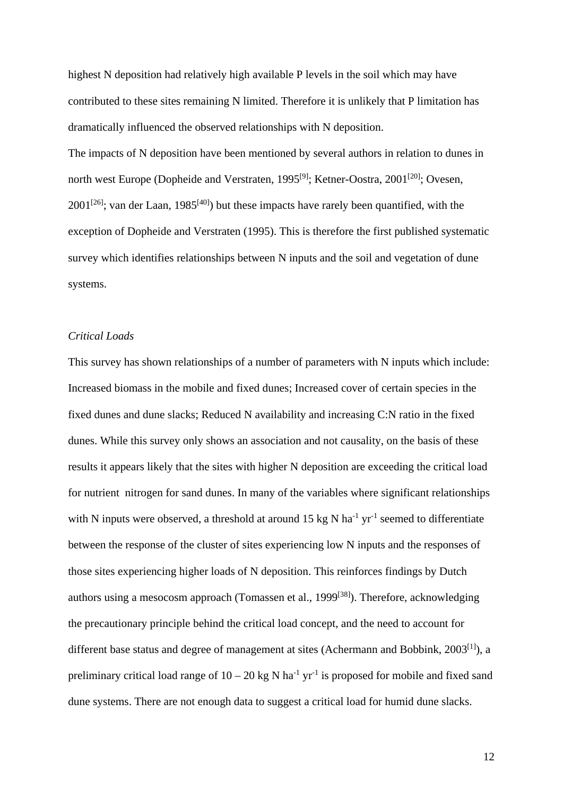highest N deposition had relatively high available P levels in the soil which may have contributed to these sites remaining N limited. Therefore it is unlikely that P limitation has dramatically influenced the observed relationships with N deposition.

The impacts of N deposition have been mentioned by several authors in relation to dunes in north west Europe (Dopheide and Verstraten, 1995<sup>[9]</sup>; Ketner-Oostra, 2001<sup>[20]</sup>; Ovesen,  $2001^{[26]}$ ; van der Laan, 1985<sup>[40]</sup>) but these impacts have rarely been quantified, with the exception of Dopheide and Verstraten (1995). This is therefore the first published systematic survey which identifies relationships between N inputs and the soil and vegetation of dune systems.

# *Critical Loads*

This survey has shown relationships of a number of parameters with N inputs which include: Increased biomass in the mobile and fixed dunes; Increased cover of certain species in the fixed dunes and dune slacks; Reduced N availability and increasing C:N ratio in the fixed dunes. While this survey only shows an association and not causality, on the basis of these results it appears likely that the sites with higher N deposition are exceeding the critical load for nutrient nitrogen for sand dunes. In many of the variables where significant relationships with N inputs were observed, a threshold at around 15 kg N ha<sup>-1</sup> yr<sup>-1</sup> seemed to differentiate between the response of the cluster of sites experiencing low N inputs and the responses of those sites experiencing higher loads of N deposition. This reinforces findings by Dutch authors using a mesocosm approach (Tomassen et al., 1999<sup>[38]</sup>). Therefore, acknowledging the precautionary principle behind the critical load concept, and the need to account for different base status and degree of management at sites (Achermann and Bobbink, 2003<sup>[1]</sup>), a preliminary critical load range of  $10 - 20$  kg N ha<sup>-1</sup> yr<sup>-1</sup> is proposed for mobile and fixed sand dune systems. There are not enough data to suggest a critical load for humid dune slacks.

12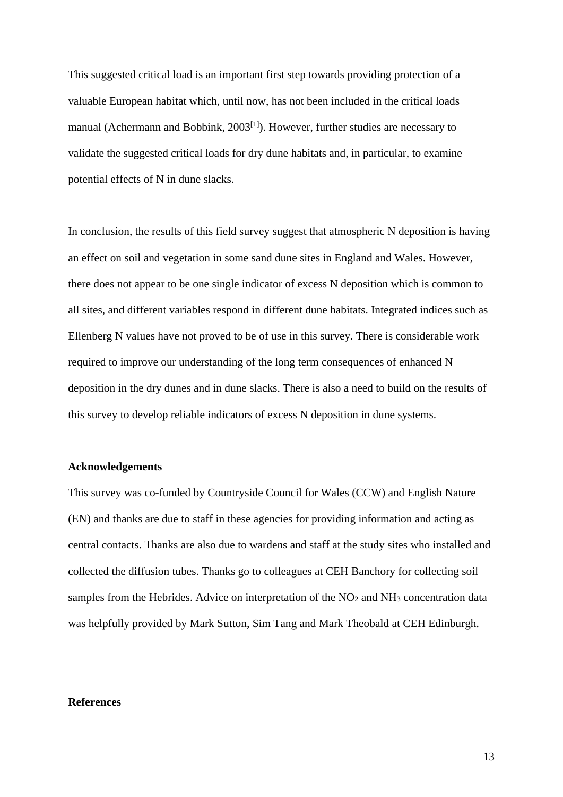This suggested critical load is an important first step towards providing protection of a valuable European habitat which, until now, has not been included in the critical loads manual (Achermann and Bobbink,  $2003^{[1]}$ ). However, further studies are necessary to validate the suggested critical loads for dry dune habitats and, in particular, to examine potential effects of N in dune slacks.

In conclusion, the results of this field survey suggest that atmospheric N deposition is having an effect on soil and vegetation in some sand dune sites in England and Wales. However, there does not appear to be one single indicator of excess N deposition which is common to all sites, and different variables respond in different dune habitats. Integrated indices such as Ellenberg N values have not proved to be of use in this survey. There is considerable work required to improve our understanding of the long term consequences of enhanced N deposition in the dry dunes and in dune slacks. There is also a need to build on the results of this survey to develop reliable indicators of excess N deposition in dune systems.

#### **Acknowledgements**

This survey was co-funded by Countryside Council for Wales (CCW) and English Nature (EN) and thanks are due to staff in these agencies for providing information and acting as central contacts. Thanks are also due to wardens and staff at the study sites who installed and collected the diffusion tubes. Thanks go to colleagues at CEH Banchory for collecting soil samples from the Hebrides. Advice on interpretation of the NO<sub>2</sub> and NH<sub>3</sub> concentration data was helpfully provided by Mark Sutton, Sim Tang and Mark Theobald at CEH Edinburgh.

### **References**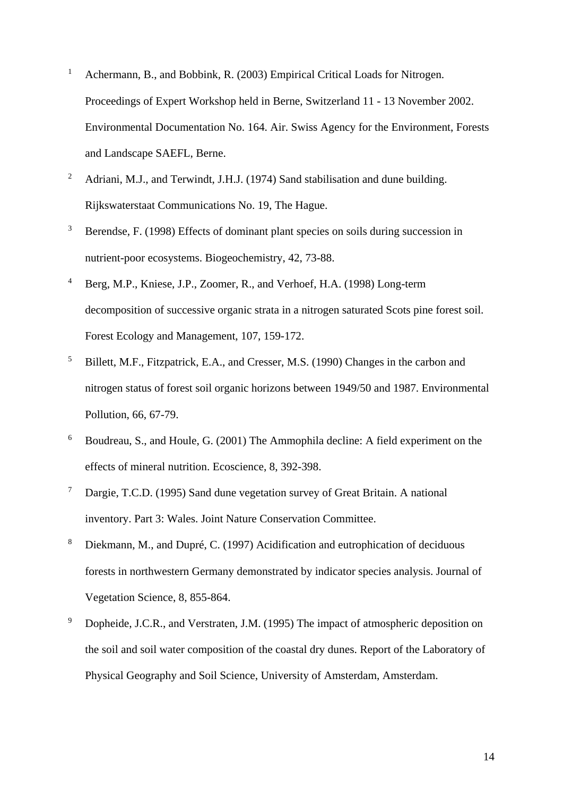- <sup>1</sup> Achermann, B., and Bobbink, R. (2003) Empirical Critical Loads for Nitrogen. Proceedings of Expert Workshop held in Berne, Switzerland 11 - 13 November 2002. Environmental Documentation No. 164. Air. Swiss Agency for the Environment, Forests and Landscape SAEFL, Berne.
- <sup>2</sup> Adriani, M.J., and Terwindt, J.H.J. (1974) Sand stabilisation and dune building. Rijkswaterstaat Communications No. 19, The Hague.
- <sup>3</sup> Berendse, F. (1998) Effects of dominant plant species on soils during succession in nutrient-poor ecosystems. Biogeochemistry, 42, 73-88.
- <sup>4</sup> Berg, M.P., Kniese, J.P., Zoomer, R., and Verhoef, H.A. (1998) Long-term decomposition of successive organic strata in a nitrogen saturated Scots pine forest soil. Forest Ecology and Management, 107, 159-172.
- 5 Billett, M.F., Fitzpatrick, E.A., and Cresser, M.S. (1990) Changes in the carbon and nitrogen status of forest soil organic horizons between 1949/50 and 1987. Environmental Pollution, 66, 67-79.
- <sup>6</sup> Boudreau, S., and Houle, G. (2001) The Ammophila decline: A field experiment on the effects of mineral nutrition. Ecoscience, 8, 392-398.
- 7 Dargie, T.C.D. (1995) Sand dune vegetation survey of Great Britain. A national inventory. Part 3: Wales. Joint Nature Conservation Committee.
- 8 Diekmann, M., and Dupré, C. (1997) Acidification and eutrophication of deciduous forests in northwestern Germany demonstrated by indicator species analysis. Journal of Vegetation Science, 8, 855-864.
- <sup>9</sup> Dopheide, J.C.R., and Verstraten, J.M. (1995) The impact of atmospheric deposition on the soil and soil water composition of the coastal dry dunes. Report of the Laboratory of Physical Geography and Soil Science, University of Amsterdam, Amsterdam.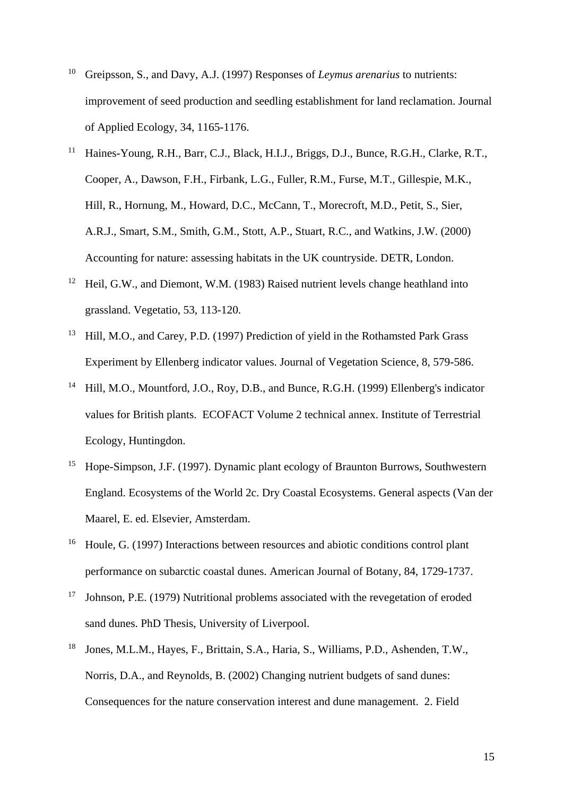- 10 Greipsson, S., and Davy, A.J. (1997) Responses of *Leymus arenarius* to nutrients: improvement of seed production and seedling establishment for land reclamation. Journal of Applied Ecology, 34, 1165-1176.
- <sup>11</sup> Haines-Young, R.H., Barr, C.J., Black, H.I.J., Briggs, D.J., Bunce, R.G.H., Clarke, R.T., Cooper, A., Dawson, F.H., Firbank, L.G., Fuller, R.M., Furse, M.T., Gillespie, M.K., Hill, R., Hornung, M., Howard, D.C., McCann, T., Morecroft, M.D., Petit, S., Sier, A.R.J., Smart, S.M., Smith, G.M., Stott, A.P., Stuart, R.C., and Watkins, J.W. (2000) Accounting for nature: assessing habitats in the UK countryside. DETR, London.
- 12 Heil, G.W., and Diemont, W.M. (1983) Raised nutrient levels change heathland into grassland. Vegetatio, 53, 113-120.
- <sup>13</sup> Hill, M.O., and Carey, P.D. (1997) Prediction of yield in the Rothamsted Park Grass Experiment by Ellenberg indicator values. Journal of Vegetation Science, 8, 579-586.
- <sup>14</sup> Hill, M.O., Mountford, J.O., Roy, D.B., and Bunce, R.G.H. (1999) Ellenberg's indicator values for British plants. ECOFACT Volume 2 technical annex. Institute of Terrestrial Ecology, Huntingdon.
- 15 Hope-Simpson, J.F. (1997). Dynamic plant ecology of Braunton Burrows, Southwestern England. Ecosystems of the World 2c. Dry Coastal Ecosystems. General aspects (Van der Maarel, E. ed. Elsevier, Amsterdam.
- <sup>16</sup> Houle, G. (1997) Interactions between resources and abiotic conditions control plant performance on subarctic coastal dunes. American Journal of Botany, 84, 1729-1737.
- <sup>17</sup> Johnson, P.E. (1979) Nutritional problems associated with the revegetation of eroded sand dunes. PhD Thesis, University of Liverpool.
- 18 Jones, M.L.M., Hayes, F., Brittain, S.A., Haria, S., Williams, P.D., Ashenden, T.W., Norris, D.A., and Reynolds, B. (2002) Changing nutrient budgets of sand dunes: Consequences for the nature conservation interest and dune management. 2. Field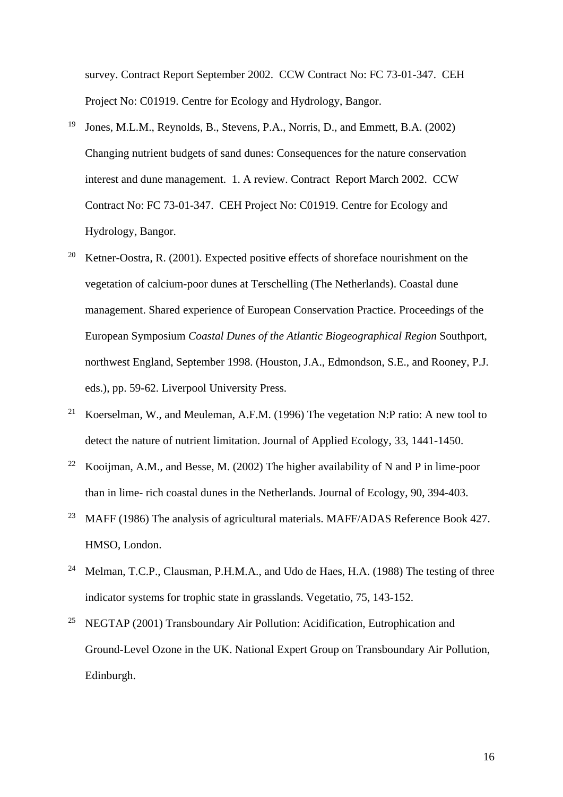survey. Contract Report September 2002. CCW Contract No: FC 73-01-347. CEH Project No: C01919. Centre for Ecology and Hydrology, Bangor.

- 19 Jones, M.L.M., Reynolds, B., Stevens, P.A., Norris, D., and Emmett, B.A. (2002) Changing nutrient budgets of sand dunes: Consequences for the nature conservation interest and dune management. 1. A review. Contract Report March 2002. CCW Contract No: FC 73-01-347. CEH Project No: C01919. Centre for Ecology and Hydrology, Bangor.
- 20 Ketner-Oostra, R. (2001). Expected positive effects of shoreface nourishment on the vegetation of calcium-poor dunes at Terschelling (The Netherlands). Coastal dune management. Shared experience of European Conservation Practice. Proceedings of the European Symposium *Coastal Dunes of the Atlantic Biogeographical Region* Southport, northwest England, September 1998. (Houston, J.A., Edmondson, S.E., and Rooney, P.J. eds.), pp. 59-62. Liverpool University Press.
- <sup>21</sup> Koerselman, W., and Meuleman, A.F.M. (1996) The vegetation N:P ratio: A new tool to detect the nature of nutrient limitation. Journal of Applied Ecology, 33, 1441-1450.
- <sup>22</sup> Kooijman, A.M., and Besse, M. (2002) The higher availability of N and P in lime-poor than in lime- rich coastal dunes in the Netherlands. Journal of Ecology, 90, 394-403.
- <sup>23</sup> MAFF (1986) The analysis of agricultural materials. MAFF/ADAS Reference Book 427. HMSO, London.
- <sup>24</sup> Melman, T.C.P., Clausman, P.H.M.A., and Udo de Haes, H.A. (1988) The testing of three indicator systems for trophic state in grasslands. Vegetatio, 75, 143-152.
- <sup>25</sup> NEGTAP (2001) Transboundary Air Pollution: Acidification, Eutrophication and Ground-Level Ozone in the UK. National Expert Group on Transboundary Air Pollution, Edinburgh.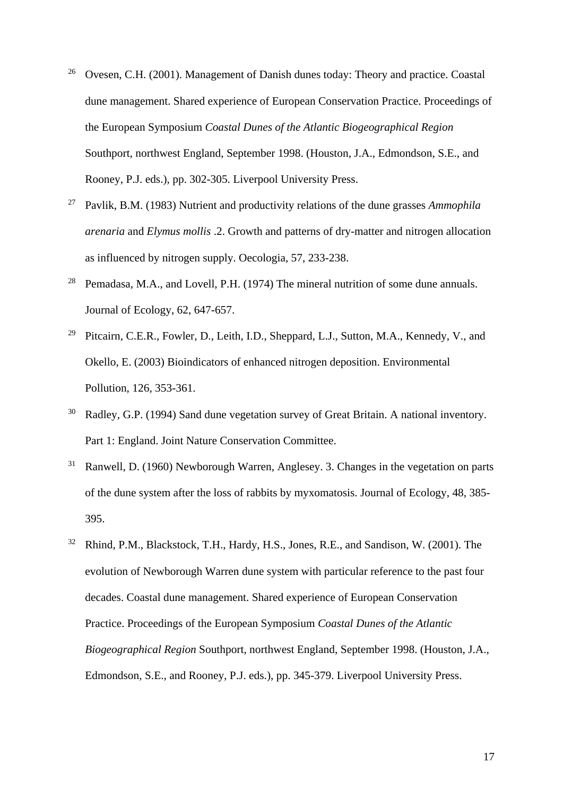- <sup>26</sup> Ovesen, C.H. (2001). Management of Danish dunes today: Theory and practice. Coastal dune management. Shared experience of European Conservation Practice. Proceedings of the European Symposium *Coastal Dunes of the Atlantic Biogeographical Region*  Southport, northwest England, September 1998. (Houston, J.A., Edmondson, S.E., and Rooney, P.J. eds.), pp. 302-305. Liverpool University Press.
- 27 Pavlik, B.M. (1983) Nutrient and productivity relations of the dune grasses *Ammophila arenaria* and *Elymus mollis* .2. Growth and patterns of dry-matter and nitrogen allocation as influenced by nitrogen supply. Oecologia, 57, 233-238.
- <sup>28</sup> Pemadasa, M.A., and Lovell, P.H. (1974) The mineral nutrition of some dune annuals. Journal of Ecology, 62, 647-657.
- <sup>29</sup> Pitcairn, C.E.R., Fowler, D., Leith, I.D., Sheppard, L.J., Sutton, M.A., Kennedy, V., and Okello, E. (2003) Bioindicators of enhanced nitrogen deposition. Environmental Pollution, 126, 353-361.
- Radley, G.P. (1994) Sand dune vegetation survey of Great Britain. A national inventory. Part 1: England. Joint Nature Conservation Committee.
- <sup>31</sup> Ranwell, D. (1960) Newborough Warren, Anglesey. 3. Changes in the vegetation on parts of the dune system after the loss of rabbits by myxomatosis. Journal of Ecology, 48, 385- 395.
- <sup>32</sup> Rhind, P.M., Blackstock, T.H., Hardy, H.S., Jones, R.E., and Sandison, W. (2001). The evolution of Newborough Warren dune system with particular reference to the past four decades. Coastal dune management. Shared experience of European Conservation Practice. Proceedings of the European Symposium *Coastal Dunes of the Atlantic Biogeographical Region* Southport, northwest England, September 1998. (Houston, J.A., Edmondson, S.E., and Rooney, P.J. eds.), pp. 345-379. Liverpool University Press.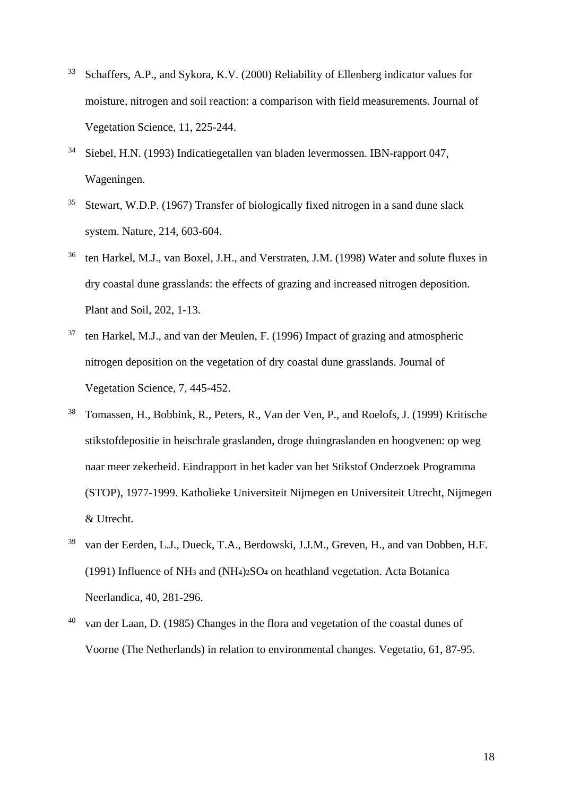- 33 Schaffers, A.P., and Sykora, K.V. (2000) Reliability of Ellenberg indicator values for moisture, nitrogen and soil reaction: a comparison with field measurements. Journal of Vegetation Science, 11, 225-244.
- 34 Siebel, H.N. (1993) Indicatiegetallen van bladen levermossen. IBN-rapport 047, Wageningen.
- 35 Stewart, W.D.P. (1967) Transfer of biologically fixed nitrogen in a sand dune slack system. Nature, 214, 603-604.
- <sup>36</sup> ten Harkel, M.J., van Boxel, J.H., and Verstraten, J.M. (1998) Water and solute fluxes in dry coastal dune grasslands: the effects of grazing and increased nitrogen deposition. Plant and Soil, 202, 1-13.
- $37$  ten Harkel, M.J., and van der Meulen, F. (1996) Impact of grazing and atmospheric nitrogen deposition on the vegetation of dry coastal dune grasslands. Journal of Vegetation Science, 7, 445-452.
- 38 Tomassen, H., Bobbink, R., Peters, R., Van der Ven, P., and Roelofs, J. (1999) Kritische stikstofdepositie in heischrale graslanden, droge duingraslanden en hoogvenen: op weg naar meer zekerheid. Eindrapport in het kader van het Stikstof Onderzoek Programma (STOP), 1977-1999. Katholieke Universiteit Nijmegen en Universiteit Utrecht, Nijmegen & Utrecht.
- 39 van der Eerden, L.J., Dueck, T.A., Berdowski, J.J.M., Greven, H., and van Dobben, H.F. (1991) Influence of NH<sub>3</sub> and (NH<sub>4</sub>)<sub>2</sub>SO<sub>4</sub> on heathland vegetation. Acta Botanica Neerlandica, 40, 281-296.
- <sup>40</sup> van der Laan, D. (1985) Changes in the flora and vegetation of the coastal dunes of Voorne (The Netherlands) in relation to environmental changes. Vegetatio, 61, 87-95.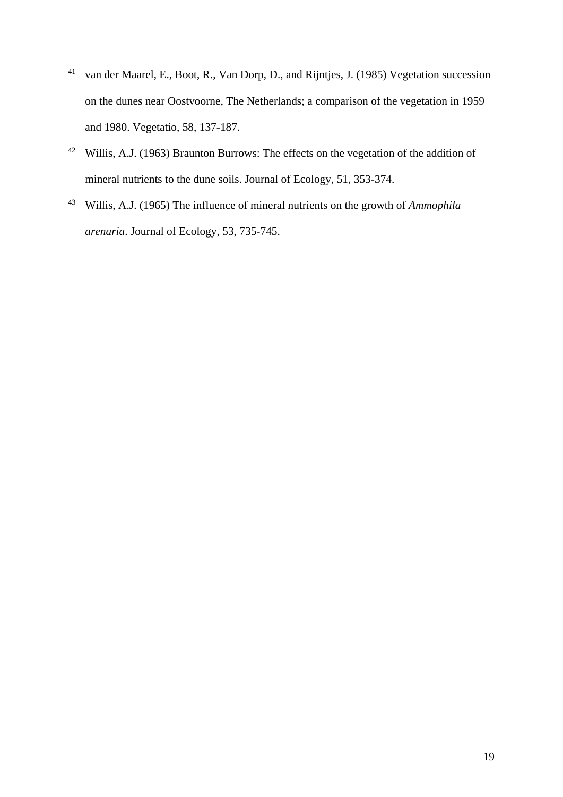- 41 van der Maarel, E., Boot, R., Van Dorp, D., and Rijntjes, J. (1985) Vegetation succession on the dunes near Oostvoorne, The Netherlands; a comparison of the vegetation in 1959 and 1980. Vegetatio, 58, 137-187.
- 42 Willis, A.J. (1963) Braunton Burrows: The effects on the vegetation of the addition of mineral nutrients to the dune soils. Journal of Ecology, 51, 353-374.
- 43 Willis, A.J. (1965) The influence of mineral nutrients on the growth of *Ammophila arenaria*. Journal of Ecology, 53, 735-745.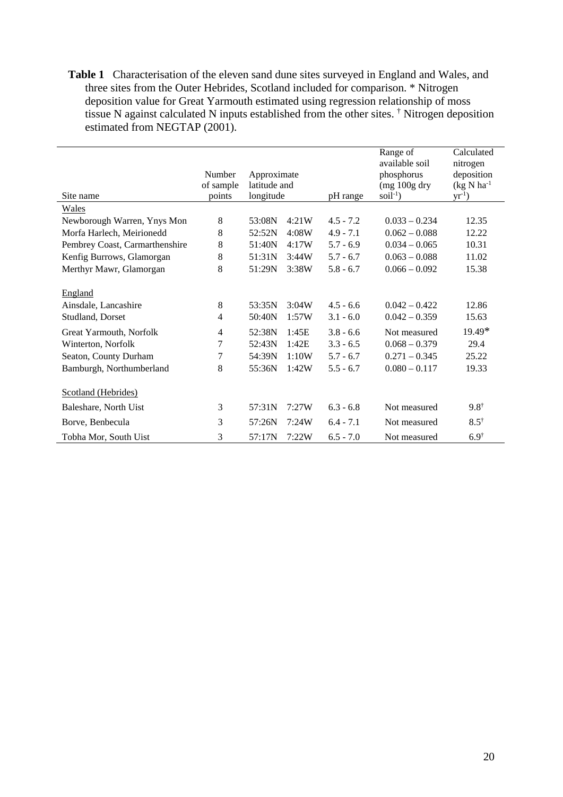**Table 1** Characterisation of the eleven sand dune sites surveyed in England and Wales, and three sites from the Outer Hebrides, Scotland included for comparison. \* Nitrogen deposition value for Great Yarmouth estimated using regression relationship of moss tissue N against calculated N inputs established from the other sites. † Nitrogen deposition estimated from NEGTAP (2001).

| Site name                                                                                                                                                 | Number<br>of sample<br>points | Approximate<br>latitude and<br>longitude                                                                       | pH range                                                                               | Range of<br>available soil<br>phosphorus<br>$(mg 100g$ dry<br>$soil-1$ )                                    | Calculated<br>nitrogen<br>deposition<br>$(kg N ha^{-1})$<br>$yr^{-1}$ ) |
|-----------------------------------------------------------------------------------------------------------------------------------------------------------|-------------------------------|----------------------------------------------------------------------------------------------------------------|----------------------------------------------------------------------------------------|-------------------------------------------------------------------------------------------------------------|-------------------------------------------------------------------------|
| <b>Wales</b>                                                                                                                                              |                               |                                                                                                                |                                                                                        |                                                                                                             |                                                                         |
| Newborough Warren, Ynys Mon                                                                                                                               | 8                             | 4:21W<br>53:08N                                                                                                | $4.5 - 7.2$                                                                            | $0.033 - 0.234$                                                                                             | 12.35                                                                   |
| Morfa Harlech, Meirionedd                                                                                                                                 | 8                             | 52:52N<br>4:08W                                                                                                | $4.9 - 7.1$                                                                            | $0.062 - 0.088$                                                                                             | 12.22                                                                   |
| Pembrey Coast, Carmarthenshire                                                                                                                            | 8                             | 51:40N<br>4:17W                                                                                                | $5.7 - 6.9$                                                                            | $0.034 - 0.065$                                                                                             | 10.31                                                                   |
| Kenfig Burrows, Glamorgan                                                                                                                                 | 8                             | 51:31N<br>3:44W                                                                                                | $5.7 - 6.7$                                                                            | $0.063 - 0.088$                                                                                             | 11.02                                                                   |
| Merthyr Mawr, Glamorgan                                                                                                                                   | 8                             | 51:29N<br>3:38W                                                                                                | $5.8 - 6.7$                                                                            | $0.066 - 0.092$                                                                                             | 15.38                                                                   |
| England<br>Ainsdale, Lancashire<br>Studland, Dorset<br>Great Yarmouth, Norfolk<br>Winterton, Norfolk<br>Seaton, County Durham<br>Bamburgh, Northumberland | 8<br>4<br>4<br>7<br>7<br>8    | 53:35N<br>3:04W<br>50:40N<br>1:57W<br>52:38N<br>1:45E<br>52:43N<br>1:42E<br>54:39N<br>1:10W<br>55:36N<br>1:42W | $4.5 - 6.6$<br>$3.1 - 6.0$<br>$3.8 - 6.6$<br>$3.3 - 6.5$<br>$5.7 - 6.7$<br>$5.5 - 6.7$ | $0.042 - 0.422$<br>$0.042 - 0.359$<br>Not measured<br>$0.068 - 0.379$<br>$0.271 - 0.345$<br>$0.080 - 0.117$ | 12.86<br>15.63<br>$19.49*$<br>29.4<br>25.22<br>19.33                    |
| Scotland (Hebrides)                                                                                                                                       |                               |                                                                                                                |                                                                                        |                                                                                                             |                                                                         |
| Baleshare, North Uist                                                                                                                                     | 3                             | 57:31N<br>7:27W                                                                                                | $6.3 - 6.8$                                                                            | Not measured                                                                                                | $9.8^{\dagger}$                                                         |
| Borve, Benbecula                                                                                                                                          | 3                             | 57:26N<br>7:24W                                                                                                | $6.4 - 7.1$                                                                            | Not measured                                                                                                | $8.5^{\dagger}$                                                         |
| Tobha Mor, South Uist                                                                                                                                     | 3                             | 57:17N<br>7:22W                                                                                                | $6.5 - 7.0$                                                                            | Not measured                                                                                                | $6.9^{\dagger}$                                                         |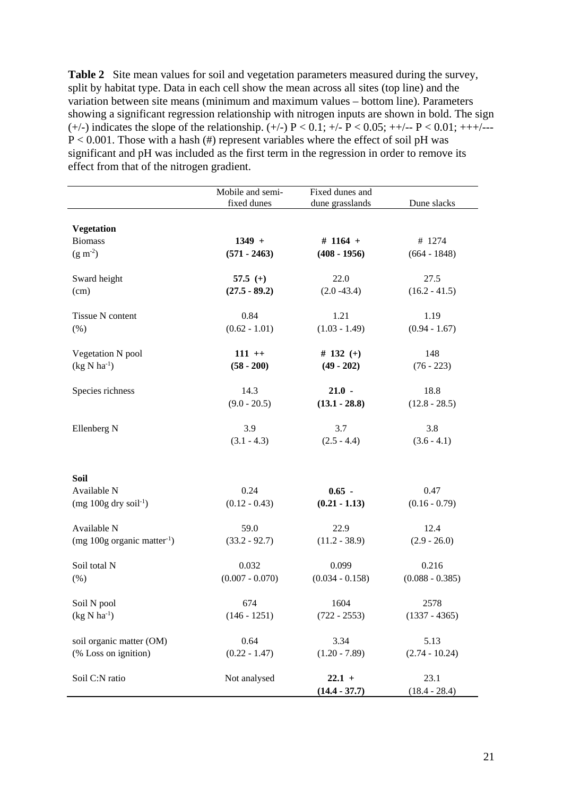**Table 2** Site mean values for soil and vegetation parameters measured during the survey, split by habitat type. Data in each cell show the mean across all sites (top line) and the variation between site means (minimum and maximum values – bottom line). Parameters showing a significant regression relationship with nitrogen inputs are shown in bold. The sign (+/-) indicates the slope of the relationship. (+/-)  $P < 0.1$ ; +/- $P < 0.05$ ; ++/-- $P < 0.01$ ; +++/--- $P < 0.001$ . Those with a hash (#) represent variables where the effect of soil pH was significant and pH was included as the first term in the regression in order to remove its effect from that of the nitrogen gradient.

|                                           | Mobile and semi-<br>Fixed dunes and |                   |                   |  |
|-------------------------------------------|-------------------------------------|-------------------|-------------------|--|
|                                           | fixed dunes                         | dune grasslands   | Dune slacks       |  |
|                                           |                                     |                   |                   |  |
| <b>Vegetation</b><br><b>Biomass</b>       | $1349 +$                            | # $1164 +$        | # 1274            |  |
| $(g m-2)$                                 | $(571 - 2463)$                      | $(408 - 1956)$    | $(664 - 1848)$    |  |
|                                           |                                     |                   |                   |  |
| Sward height                              | 57.5 $(+)$                          | 22.0              | 27.5              |  |
| (cm)                                      | $(27.5 - 89.2)$                     | $(2.0 - 43.4)$    | $(16.2 - 41.5)$   |  |
|                                           |                                     |                   |                   |  |
| Tissue N content                          | 0.84                                | 1.21              | 1.19              |  |
| (% )                                      | $(0.62 - 1.01)$                     | $(1.03 - 1.49)$   | $(0.94 - 1.67)$   |  |
| Vegetation N pool                         | $111 +$                             | # 132 $(+)$       | 148               |  |
| $(kg N ha-1)$                             | $(58 - 200)$                        | $(49 - 202)$      | $(76 - 223)$      |  |
|                                           |                                     |                   |                   |  |
| Species richness                          | 14.3                                | $21.0 -$          | 18.8              |  |
|                                           | $(9.0 - 20.5)$                      | $(13.1 - 28.8)$   | $(12.8 - 28.5)$   |  |
| Ellenberg N                               | 3.9                                 | 3.7               | 3.8               |  |
|                                           | $(3.1 - 4.3)$                       | $(2.5 - 4.4)$     | $(3.6 - 4.1)$     |  |
|                                           |                                     |                   |                   |  |
|                                           |                                     |                   |                   |  |
| Soil                                      |                                     |                   |                   |  |
| Available N                               | 0.24                                | $0.65 -$          | 0.47              |  |
| $(mg 100g$ dry soil <sup>-1</sup> )       | $(0.12 - 0.43)$                     | $(0.21 - 1.13)$   | $(0.16 - 0.79)$   |  |
| Available N                               | 59.0                                | 22.9              | 12.4              |  |
| (mg $100g$ organic matter <sup>-1</sup> ) | $(33.2 - 92.7)$                     | $(11.2 - 38.9)$   | $(2.9 - 26.0)$    |  |
|                                           |                                     |                   |                   |  |
| Soil total N                              | 0.032                               | 0.099             | 0.216             |  |
| (% )                                      | $(0.007 - 0.070)$                   | $(0.034 - 0.158)$ | $(0.088 - 0.385)$ |  |
| Soil N pool                               | 674                                 | 1604              | 2578              |  |
| $(kg \text{ N} \text{ ha}^{-1})$          | $(146 - 1251)$                      | $(722 - 2553)$    | $(1337 - 4365)$   |  |
|                                           |                                     |                   |                   |  |
| soil organic matter (OM)                  | 0.64                                | 3.34              | 5.13              |  |
| (% Loss on ignition)                      | $(0.22 - 1.47)$                     | $(1.20 - 7.89)$   | $(2.74 - 10.24)$  |  |
| Soil C:N ratio                            | Not analysed                        | $22.1 +$          | 23.1              |  |
|                                           |                                     |                   |                   |  |
|                                           |                                     | $(14.4 - 37.7)$   | $(18.4 - 28.4)$   |  |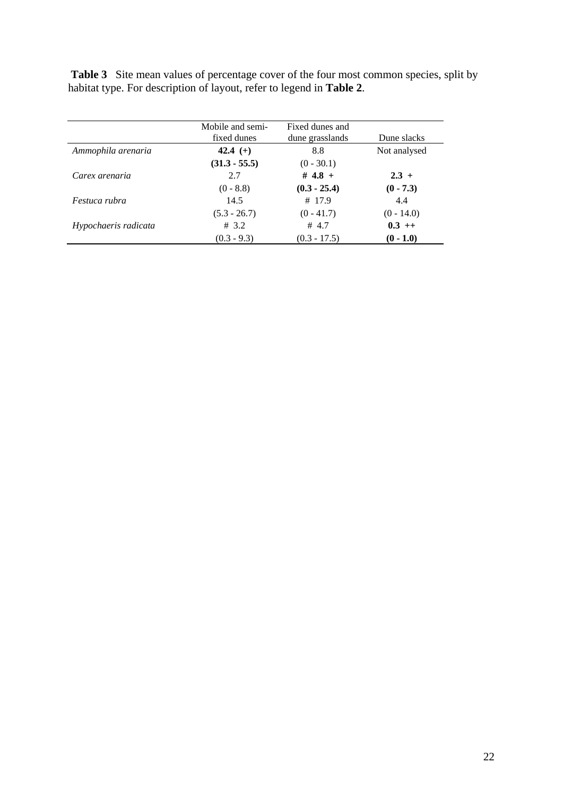Table 3 Site mean values of percentage cover of the four most common species, split by habitat type. For description of layout, refer to legend in **Table 2**.

|                      | Mobile and semi-<br>fixed dunes | Fixed dunes and<br>dune grasslands | Dune slacks  |
|----------------------|---------------------------------|------------------------------------|--------------|
| Ammophila arenaria   | 42.4 $(+)$                      | 8.8                                | Not analysed |
|                      | $(31.3 - 55.5)$                 | $(0 - 30.1)$                       |              |
| Carex arenaria       | 2.7                             | # 4.8 +                            | $2.3 +$      |
|                      | $(0 - 8.8)$                     | $(0.3 - 25.4)$                     | $(0 - 7.3)$  |
| Festuca rubra        | 14.5                            | # 17.9                             | 4.4          |
|                      | $(5.3 - 26.7)$                  | $(0 - 41.7)$                       | $(0 - 14.0)$ |
| Hypochaeris radicata | # 3.2                           | # $4.7$                            | $0.3$ ++     |
|                      | $(0.3 - 9.3)$                   | $(0.3 - 17.5)$                     | $(0 - 1.0)$  |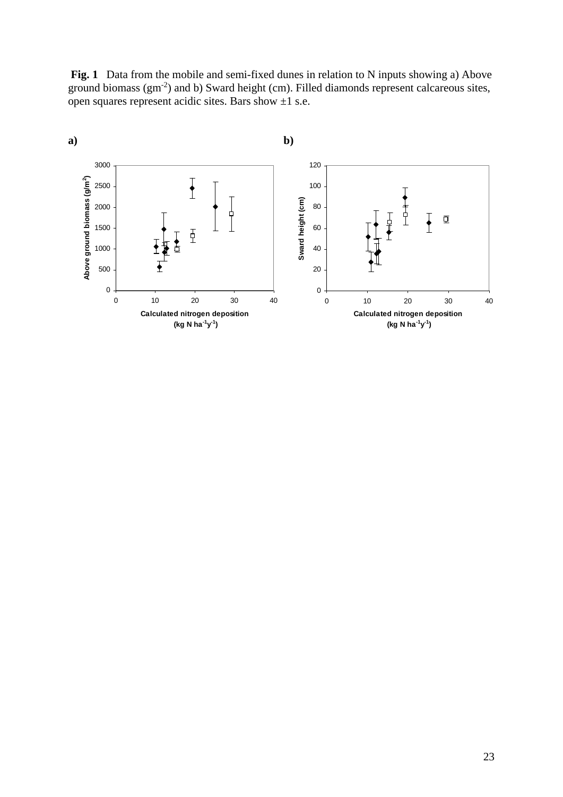**Fig. 1** Data from the mobile and semi-fixed dunes in relation to N inputs showing a) Above ground biomass (gm-2) and b) Sward height (cm). Filled diamonds represent calcareous sites, open squares represent acidic sites. Bars show  $\pm 1$  s.e.